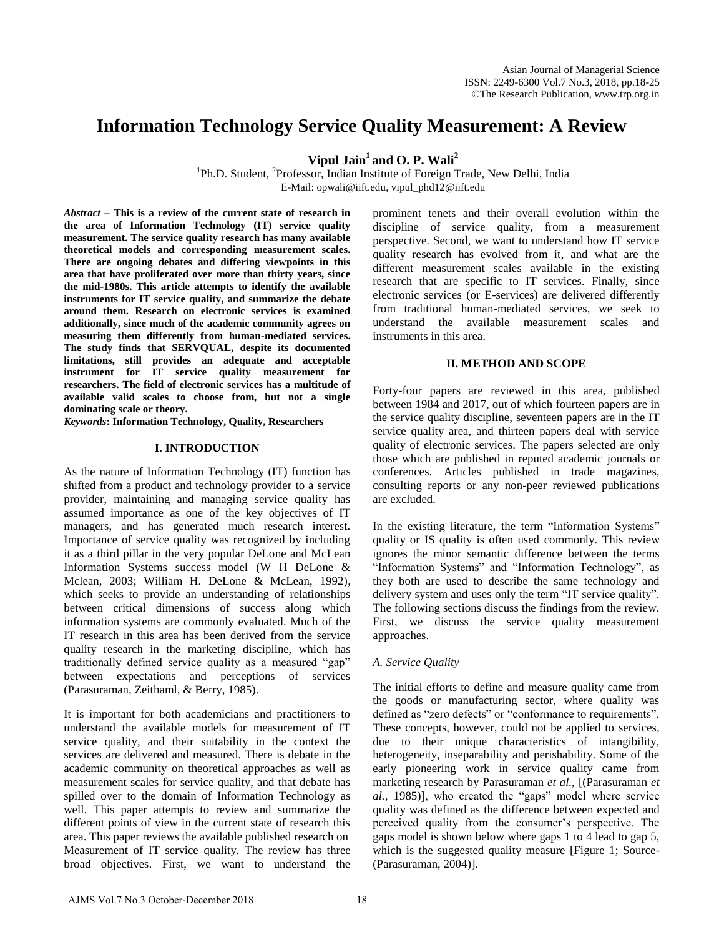# **Information Technology Service Quality Measurement: A Review**

**Vipul Jain<sup>1</sup> and O. P. Wali<sup>2</sup>**

<sup>1</sup>Ph.D. Student, <sup>2</sup>Professor, Indian Institute of Foreign Trade, New Delhi, India E-Mail: [opwali@iift.edu,](mailto:opwali@iift.edu) vipul\_phd12@iift.edu

*Abstract* **– This is a review of the current state of research in the area of Information Technology (IT) service quality measurement. The service quality research has many available theoretical models and corresponding measurement scales. There are ongoing debates and differing viewpoints in this area that have proliferated over more than thirty years, since the mid-1980s. This article attempts to identify the available instruments for IT service quality, and summarize the debate around them. Research on electronic services is examined additionally, since much of the academic community agrees on measuring them differently from human-mediated services. The study finds that SERVQUAL, despite its documented limitations, still provides an adequate and acceptable instrument for IT service quality measurement for researchers. The field of electronic services has a multitude of available valid scales to choose from, but not a single dominating scale or theory.** 

*Keywords***: Information Technology, Quality, Researchers** 

### **I. INTRODUCTION**

As the nature of Information Technology (IT) function has shifted from a product and technology provider to a service provider, maintaining and managing service quality has assumed importance as one of the key objectives of IT managers, and has generated much research interest. Importance of service quality was recognized by including it as a third pillar in the very popular DeLone and McLean Information Systems success model (W H DeLone & Mclean, 2003; William H. DeLone & McLean, 1992), which seeks to provide an understanding of relationships between critical dimensions of success along which information systems are commonly evaluated. Much of the IT research in this area has been derived from the service quality research in the marketing discipline, which has traditionally defined service quality as a measured "gap" between expectations and perceptions of services (Parasuraman, Zeithaml, & Berry, 1985).

It is important for both academicians and practitioners to understand the available models for measurement of IT service quality, and their suitability in the context the services are delivered and measured. There is debate in the academic community on theoretical approaches as well as measurement scales for service quality, and that debate has spilled over to the domain of Information Technology as well. This paper attempts to review and summarize the different points of view in the current state of research this area. This paper reviews the available published research on Measurement of IT service quality. The review has three broad objectives. First, we want to understand the

prominent tenets and their overall evolution within the discipline of service quality, from a measurement perspective. Second, we want to understand how IT service quality research has evolved from it, and what are the different measurement scales available in the existing research that are specific to IT services. Finally, since electronic services (or E-services) are delivered differently from traditional human-mediated services, we seek to understand the available measurement scales and instruments in this area.

#### **II. METHOD AND SCOPE**

Forty-four papers are reviewed in this area, published between 1984 and 2017, out of which fourteen papers are in the service quality discipline, seventeen papers are in the IT service quality area, and thirteen papers deal with service quality of electronic services. The papers selected are only those which are published in reputed academic journals or conferences. Articles published in trade magazines, consulting reports or any non-peer reviewed publications are excluded.

In the existing literature, the term "Information Systems" quality or IS quality is often used commonly. This review ignores the minor semantic difference between the terms "Information Systems" and "Information Technology", as they both are used to describe the same technology and delivery system and uses only the term "IT service quality". The following sections discuss the findings from the review. First, we discuss the service quality measurement approaches.

### *A. Service Quality*

The initial efforts to define and measure quality came from the goods or manufacturing sector, where quality was defined as "zero defects" or "conformance to requirements". These concepts, however, could not be applied to services, due to their unique characteristics of intangibility, heterogeneity, inseparability and perishability. Some of the early pioneering work in service quality came from marketing research by Parasuraman *et al.,* [(Parasuraman *et al.,* 1985)], who created the "gaps" model where service quality was defined as the difference between expected and perceived quality from the consumer"s perspective. The gaps model is shown below where gaps 1 to 4 lead to gap 5, which is the suggested quality measure [Figure 1; Source- (Parasuraman, 2004)].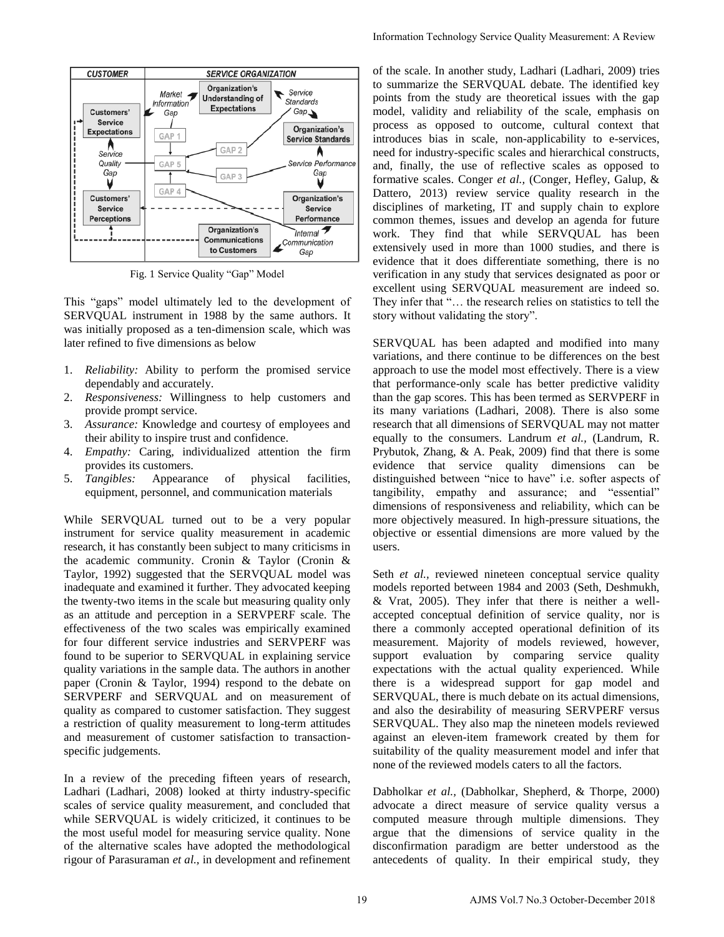

Fig. 1 Service Quality "Gap" Model

This "gaps" model ultimately led to the development of SERVQUAL instrument in 1988 by the same authors. It was initially proposed as a ten-dimension scale, which was later refined to five dimensions as below

- 1. *Reliability:* Ability to perform the promised service dependably and accurately.
- 2. *Responsiveness:* Willingness to help customers and provide prompt service.
- 3. *Assurance:* Knowledge and courtesy of employees and their ability to inspire trust and confidence.
- 4. *Empathy:* Caring, individualized attention the firm provides its customers.
- 5. *Tangibles:* Appearance of physical facilities, equipment, personnel, and communication materials

While SERVQUAL turned out to be a very popular instrument for service quality measurement in academic research, it has constantly been subject to many criticisms in the academic community. Cronin & Taylor (Cronin & Taylor, 1992) suggested that the SERVQUAL model was inadequate and examined it further. They advocated keeping the twenty-two items in the scale but measuring quality only as an attitude and perception in a SERVPERF scale. The effectiveness of the two scales was empirically examined for four different service industries and SERVPERF was found to be superior to SERVQUAL in explaining service quality variations in the sample data. The authors in another paper (Cronin & Taylor, 1994) respond to the debate on SERVPERF and SERVQUAL and on measurement of quality as compared to customer satisfaction. They suggest a restriction of quality measurement to long-term attitudes and measurement of customer satisfaction to transactionspecific judgements.

In a review of the preceding fifteen years of research, Ladhari (Ladhari, 2008) looked at thirty industry-specific scales of service quality measurement, and concluded that while SERVQUAL is widely criticized, it continues to be the most useful model for measuring service quality. None of the alternative scales have adopted the methodological rigour of Parasuraman *et al.,* in development and refinement

of the scale. In another study, Ladhari (Ladhari, 2009) tries to summarize the SERVQUAL debate. The identified key points from the study are theoretical issues with the gap model, validity and reliability of the scale, emphasis on process as opposed to outcome, cultural context that introduces bias in scale, non-applicability to e-services, need for industry-specific scales and hierarchical constructs, and, finally, the use of reflective scales as opposed to formative scales. Conger *et al.,* (Conger, Hefley, Galup, & Dattero, 2013) review service quality research in the disciplines of marketing, IT and supply chain to explore common themes, issues and develop an agenda for future work. They find that while SERVQUAL has been extensively used in more than 1000 studies, and there is evidence that it does differentiate something, there is no verification in any study that services designated as poor or excellent using SERVQUAL measurement are indeed so. They infer that "… the research relies on statistics to tell the story without validating the story". Information Technology Service Quality Measurement: A Review<br>
of the scale. In another stroky Ledhini (Ladhari). Tother income<br>
points rounds to summarize the SERVO(JAI .dshmat: A Review of the scale with the approximatio

SERVQUAL has been adapted and modified into many variations, and there continue to be differences on the best approach to use the model most effectively. There is a view that performance-only scale has better predictive validity than the gap scores. This has been termed as SERVPERF in its many variations (Ladhari, 2008). There is also some research that all dimensions of SERVQUAL may not matter equally to the consumers. Landrum *et al.,* (Landrum, R. Prybutok, Zhang, & A. Peak, 2009) find that there is some evidence that service quality dimensions can be distinguished between "nice to have" i.e. softer aspects of tangibility, empathy and assurance; and "essential" dimensions of responsiveness and reliability, which can be more objectively measured. In high-pressure situations, the objective or essential dimensions are more valued by the users.

Seth *et al.*, reviewed nineteen conceptual service quality models reported between 1984 and 2003 (Seth, Deshmukh, & Vrat, 2005). They infer that there is neither a wellaccepted conceptual definition of service quality, nor is there a commonly accepted operational definition of its measurement. Majority of models reviewed, however, support evaluation by comparing service quality expectations with the actual quality experienced. While there is a widespread support for gap model and SERVQUAL, there is much debate on its actual dimensions, and also the desirability of measuring SERVPERF versus SERVQUAL. They also map the nineteen models reviewed against an eleven-item framework created by them for suitability of the quality measurement model and infer that none of the reviewed models caters to all the factors.

Dabholkar *et al.,* (Dabholkar, Shepherd, & Thorpe, 2000) advocate a direct measure of service quality versus a computed measure through multiple dimensions. They argue that the dimensions of service quality in the disconfirmation paradigm are better understood as the antecedents of quality. In their empirical study, they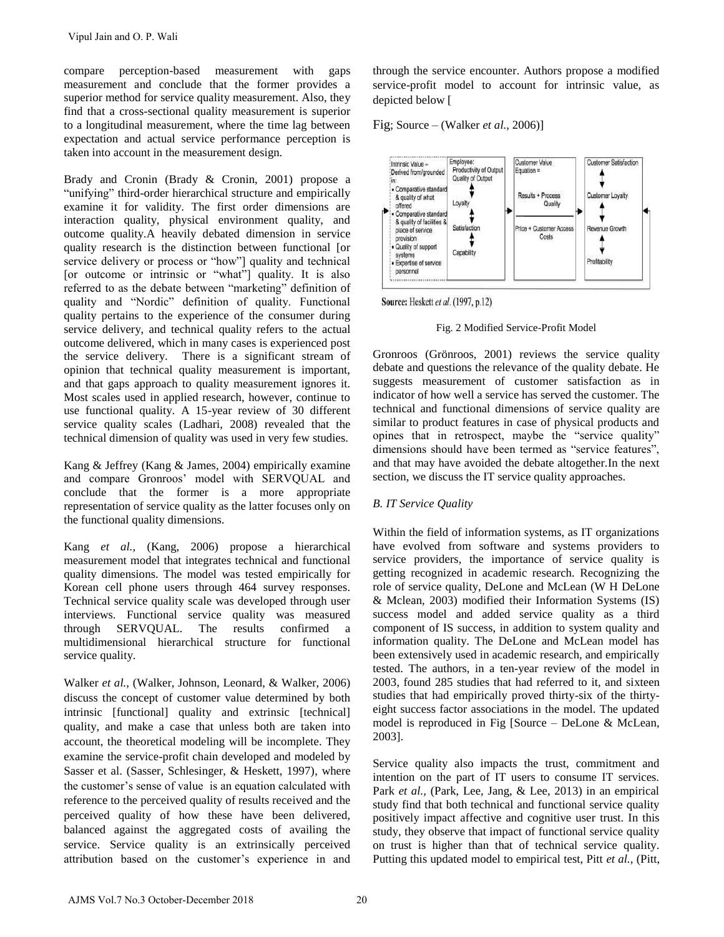compare perception-based measurement with gaps measurement and conclude that the former provides a superior method for service quality measurement. Also, they find that a cross-sectional quality measurement is superior to a longitudinal measurement, where the time lag between expectation and actual service performance perception is taken into account in the measurement design.

Brady and Cronin (Brady & Cronin, 2001) propose a "unifying" third-order hierarchical structure and empirically examine it for validity. The first order dimensions are interaction quality, physical environment quality, and outcome quality.A heavily debated dimension in service quality research is the distinction between functional [or service delivery or process or "how"] quality and technical [or outcome or intrinsic or "what"] quality. It is also referred to as the debate between "marketing" definition of quality and "Nordic" definition of quality. Functional quality pertains to the experience of the consumer during service delivery, and technical quality refers to the actual outcome delivered, which in many cases is experienced post the service delivery. There is a significant stream of opinion that technical quality measurement is important, and that gaps approach to quality measurement ignores it. Most scales used in applied research, however, continue to use functional quality. A 15-year review of 30 different service quality scales (Ladhari, 2008) revealed that the technical dimension of quality was used in very few studies. Vipul Jain and O. P. Wali<br>
compare perception-based measurement with gaps<br>
measurement and consclude that the former provides a<br>
measurement and consclude that the former provides a<br>
measurement Also, they they including m

Kang & Jeffrey (Kang & James, 2004) empirically examine and compare Gronroos" model with SERVQUAL and conclude that the former is a more appropriate representation of service quality as the latter focuses only on the functional quality dimensions.

Kang *et al.,* (Kang, 2006) propose a hierarchical measurement model that integrates technical and functional quality dimensions. The model was tested empirically for Korean cell phone users through 464 survey responses. Technical service quality scale was developed through user interviews. Functional service quality was measured through SERVQUAL. The results confirmed a multidimensional hierarchical structure for functional service quality.

Walker *et al.,* (Walker, Johnson, Leonard, & Walker, 2006) discuss the concept of customer value determined by both intrinsic [functional] quality and extrinsic [technical] quality, and make a case that unless both are taken into account, the theoretical modeling will be incomplete. They examine the service-profit chain developed and modeled by Sasser et al. (Sasser, Schlesinger, & Heskett, 1997), where the customer"s sense of value is an equation calculated with reference to the perceived quality of results received and the perceived quality of how these have been delivered, balanced against the aggregated costs of availing the service. Service quality is an extrinsically perceived attribution based on the customer"s experience in and

through the service encounter. Authors propose a modified service-profit model to account for intrinsic value, as depicted below [

Fig; Source – (Walker *et al.,* 2006)]



Source: Heskett et al. (1997, p.12)

Fig. 2 Modified Service-Profit Model

Gronroos (Grönroos, 2001) reviews the service quality debate and questions the relevance of the quality debate. He suggests measurement of customer satisfaction as in indicator of how well a service has served the customer. The technical and functional dimensions of service quality are similar to product features in case of physical products and opines that in retrospect, maybe the "service quality" dimensions should have been termed as "service features", and that may have avoided the debate altogether.In the next section, we discuss the IT service quality approaches.

## *B. IT Service Quality*

Within the field of information systems, as IT organizations have evolved from software and systems providers to service providers, the importance of service quality is getting recognized in academic research. Recognizing the role of service quality, DeLone and McLean (W H DeLone & Mclean, 2003) modified their Information Systems (IS) success model and added service quality as a third component of IS success, in addition to system quality and information quality. The DeLone and McLean model has been extensively used in academic research, and empirically tested. The authors, in a ten-year review of the model in 2003, found 285 studies that had referred to it, and sixteen studies that had empirically proved thirty-six of the thirtyeight success factor associations in the model. The updated model is reproduced in Fig [Source – DeLone & McLean, 2003].

Service quality also impacts the trust, commitment and intention on the part of IT users to consume IT services. Park *et al.*, (Park, Lee, Jang, & Lee, 2013) in an empirical study find that both technical and functional service quality positively impact affective and cognitive user trust. In this study, they observe that impact of functional service quality on trust is higher than that of technical service quality. Putting this updated model to empirical test, Pitt *et al.,* (Pitt,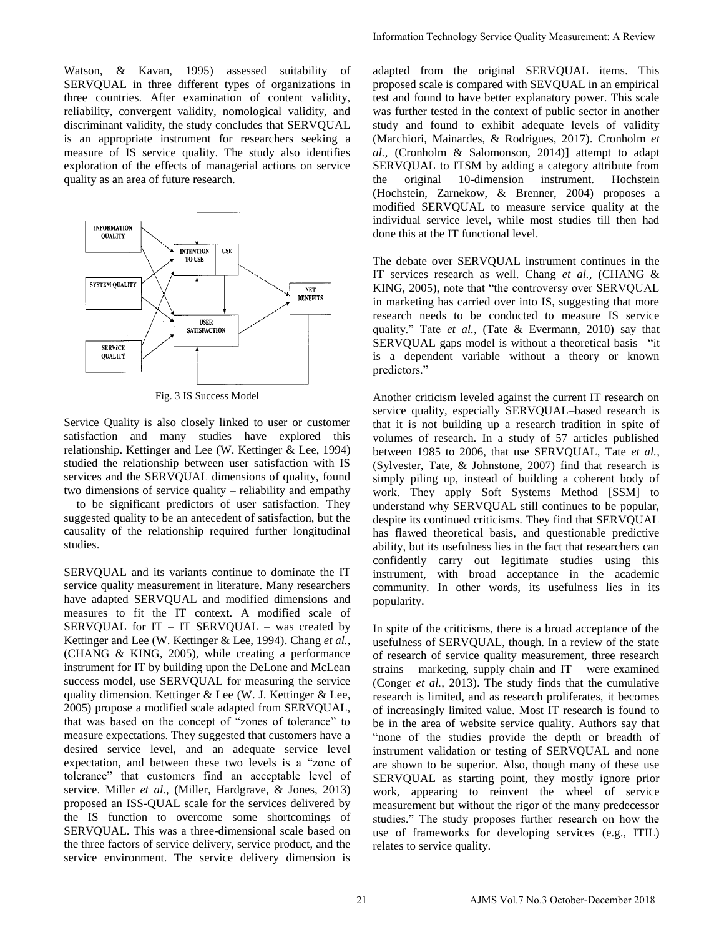Watson, & Kavan, 1995) assessed suitability of SERVQUAL in three different types of organizations in three countries. After examination of content validity, reliability, convergent validity, nomological validity, and discriminant validity, the study concludes that SERVQUAL is an appropriate instrument for researchers seeking a measure of IS service quality. The study also identifies exploration of the effects of managerial actions on service quality as an area of future research.



Fig. 3 IS Success Model

Service Quality is also closely linked to user or customer satisfaction and many studies have explored this relationship. Kettinger and Lee (W. Kettinger & Lee, 1994) studied the relationship between user satisfaction with IS services and the SERVQUAL dimensions of quality, found two dimensions of service quality – reliability and empathy – to be significant predictors of user satisfaction. They suggested quality to be an antecedent of satisfaction, but the causality of the relationship required further longitudinal studies.

SERVQUAL and its variants continue to dominate the IT service quality measurement in literature. Many researchers have adapted SERVQUAL and modified dimensions and measures to fit the IT context. A modified scale of SERVQUAL for IT – IT SERVQUAL – was created by Kettinger and Lee (W. Kettinger & Lee, 1994). Chang *et al.,*  (CHANG & KING, 2005), while creating a performance instrument for IT by building upon the DeLone and McLean success model, use SERVQUAL for measuring the service quality dimension. Kettinger & Lee (W. J. Kettinger & Lee, 2005) propose a modified scale adapted from SERVQUAL, that was based on the concept of "zones of tolerance" to measure expectations. They suggested that customers have a desired service level, and an adequate service level expectation, and between these two levels is a "zone of tolerance" that customers find an acceptable level of service. Miller *et al.,* (Miller, Hardgrave, & Jones, 2013) proposed an ISS-QUAL scale for the services delivered by the IS function to overcome some shortcomings of SERVQUAL. This was a three-dimensional scale based on the three factors of service delivery, service product, and the service environment. The service delivery dimension is

adapted from the original SERVQUAL items. This proposed scale is compared with SEVQUAL in an empirical test and found to have better explanatory power. This scale was further tested in the context of public sector in another study and found to exhibit adequate levels of validity (Marchiori, Mainardes, & Rodrigues, 2017). Cronholm *et al.,* (Cronholm & Salomonson, 2014)] attempt to adapt SERVQUAL to ITSM by adding a category attribute from the original 10-dimension instrument. Hochstein (Hochstein, Zarnekow, & Brenner, 2004) proposes a modified SERVQUAL to measure service quality at the individual service level, while most studies till then had done this at the IT functional level.

The debate over SERVQUAL instrument continues in the IT services research as well. Chang *et al.,* (CHANG & KING, 2005), note that "the controversy over SERVQUAL in marketing has carried over into IS, suggesting that more research needs to be conducted to measure IS service quality." Tate *et al.,* (Tate & Evermann, 2010) say that SERVQUAL gaps model is without a theoretical basis– "it is a dependent variable without a theory or known predictors."

Another criticism leveled against the current IT research on service quality, especially SERVQUAL–based research is that it is not building up a research tradition in spite of volumes of research. In a study of 57 articles published between 1985 to 2006, that use SERVQUAL, Tate *et al.,*  (Sylvester, Tate, & Johnstone, 2007) find that research is simply piling up, instead of building a coherent body of work. They apply Soft Systems Method [SSM] to understand why SERVQUAL still continues to be popular, despite its continued criticisms. They find that SERVQUAL has flawed theoretical basis, and questionable predictive ability, but its usefulness lies in the fact that researchers can confidently carry out legitimate studies using this instrument, with broad acceptance in the academic community. In other words, its usefulness lies in its popularity.

In spite of the criticisms, there is a broad acceptance of the usefulness of SERVQUAL, though. In a review of the state of research of service quality measurement, three research strains – marketing, supply chain and IT – were examined (Conger *et al.,* 2013). The study finds that the cumulative research is limited, and as research proliferates, it becomes of increasingly limited value. Most IT research is found to be in the area of website service quality. Authors say that "none of the studies provide the depth or breadth of instrument validation or testing of SERVQUAL and none are shown to be superior. Also, though many of these use SERVQUAL as starting point, they mostly ignore prior work, appearing to reinvent the wheel of service measurement but without the rigor of the many predecessor studies." The study proposes further research on how the use of frameworks for developing services (e.g., ITIL) relates to service quality. Information Technology Service Quality Measurement: A Review<br>
adapted from the original SERVQUAL, items. This scaling<br>test and found to have better explanatory power. This scaling<br>the station of the context of public sect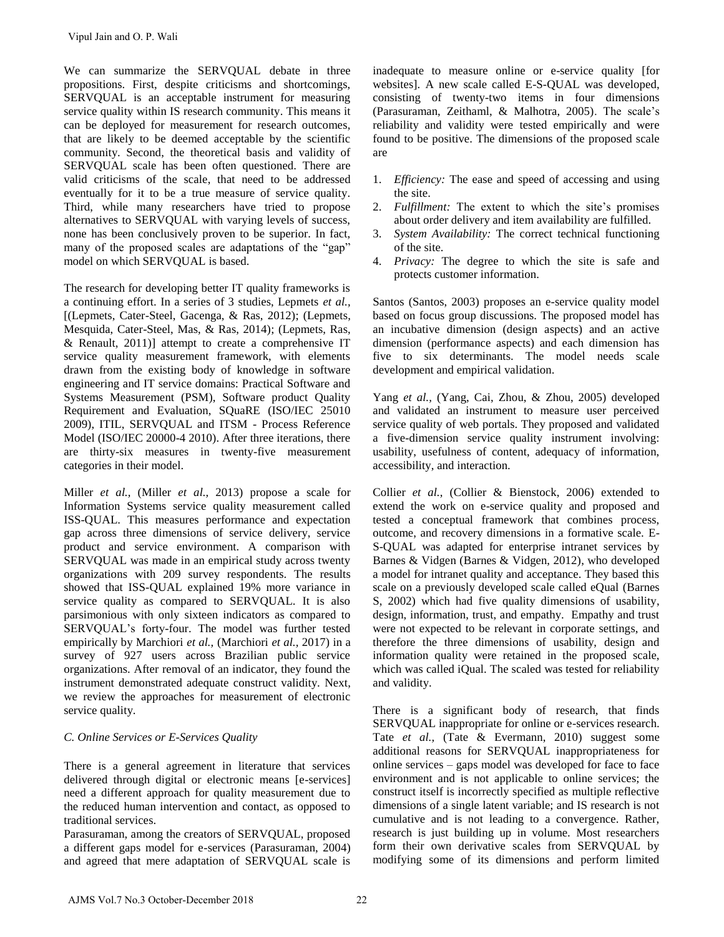We can summarize the SERVQUAL debate in three propositions. First, despite criticisms and shortcomings, SERVQUAL is an acceptable instrument for measuring service quality within IS research community. This means it can be deployed for measurement for research outcomes, that are likely to be deemed acceptable by the scientific community. Second, the theoretical basis and validity of SERVQUAL scale has been often questioned. There are valid criticisms of the scale, that need to be addressed eventually for it to be a true measure of service quality. Third, while many researchers have tried to propose alternatives to SERVQUAL with varying levels of success, none has been conclusively proven to be superior. In fact, many of the proposed scales are adaptations of the "gap" model on which SERVQUAL is based.

The research for developing better IT quality frameworks is a continuing effort. In a series of 3 studies, Lepmets *et al.,*  [(Lepmets, Cater-Steel, Gacenga, & Ras, 2012); (Lepmets, Mesquida, Cater-Steel, Mas, & Ras, 2014); (Lepmets, Ras, & Renault, 2011)] attempt to create a comprehensive IT service quality measurement framework, with elements drawn from the existing body of knowledge in software engineering and IT service domains: Practical Software and Systems Measurement (PSM), Software product Quality Requirement and Evaluation, SQuaRE (ISO/IEC 25010 2009), ITIL, SERVQUAL and ITSM - Process Reference Model (ISO/IEC 20000-4 2010). After three iterations, there are thirty-six measures in twenty-five measurement categories in their model.

Miller *et al.,* (Miller *et al.,* 2013) propose a scale for Information Systems service quality measurement called ISS-QUAL. This measures performance and expectation gap across three dimensions of service delivery, service product and service environment. A comparison with SERVQUAL was made in an empirical study across twenty organizations with 209 survey respondents. The results showed that ISS-QUAL explained 19% more variance in service quality as compared to SERVQUAL. It is also parsimonious with only sixteen indicators as compared to SERVQUAL"s forty-four. The model was further tested empirically by Marchiori *et al.,* (Marchiori *et al.,* 2017) in a survey of 927 users across Brazilian public service organizations. After removal of an indicator, they found the instrument demonstrated adequate construct validity. Next, we review the approaches for measurement of electronic service quality. Vipul Jain and O. P. Wali<br>
We can summarize the SERVQUAL debate in three<br>
We can summarize the SERVQUAL shot estimate for measuring<br>sympositions. First, despite criticisms and shortcomings,<br>ERVQUAL is an acceptable instru

### *C. Online Services or E-Services Quality*

There is a general agreement in literature that services delivered through digital or electronic means [e-services] need a different approach for quality measurement due to the reduced human intervention and contact, as opposed to traditional services.

Parasuraman, among the creators of SERVQUAL, proposed a different gaps model for e-services (Parasuraman, 2004) and agreed that mere adaptation of SERVQUAL scale is inadequate to measure online or e-service quality [for websites]. A new scale called E-S-QUAL was developed, consisting of twenty-two items in four dimensions (Parasuraman, Zeithaml, & Malhotra, 2005). The scale"s reliability and validity were tested empirically and were found to be positive. The dimensions of the proposed scale are

- 1. *Efficiency:* The ease and speed of accessing and using the site.
- 2. *Fulfillment:* The extent to which the site's promises about order delivery and item availability are fulfilled.
- 3. *System Availability:* The correct technical functioning of the site.
- 4. *Privacy:* The degree to which the site is safe and protects customer information.

Santos (Santos, 2003) proposes an e-service quality model based on focus group discussions. The proposed model has an incubative dimension (design aspects) and an active dimension (performance aspects) and each dimension has five to six determinants. The model needs scale development and empirical validation.

Yang et al., (Yang, Cai, Zhou, & Zhou, 2005) developed and validated an instrument to measure user perceived service quality of web portals. They proposed and validated a five-dimension service quality instrument involving: usability, usefulness of content, adequacy of information, accessibility, and interaction.

Collier *et al.,* (Collier & Bienstock, 2006) extended to extend the work on e-service quality and proposed and tested a conceptual framework that combines process, outcome, and recovery dimensions in a formative scale. E-S-QUAL was adapted for enterprise intranet services by Barnes & Vidgen (Barnes & Vidgen, 2012), who developed a model for intranet quality and acceptance. They based this scale on a previously developed scale called eQual (Barnes S, 2002) which had five quality dimensions of usability, design, information, trust, and empathy. Empathy and trust were not expected to be relevant in corporate settings, and therefore the three dimensions of usability, design and information quality were retained in the proposed scale, which was called iQual. The scaled was tested for reliability and validity.

There is a significant body of research, that finds SERVQUAL inappropriate for online or e-services research. Tate *et al.,* (Tate & Evermann, 2010) suggest some additional reasons for SERVQUAL inappropriateness for online services – gaps model was developed for face to face environment and is not applicable to online services; the construct itself is incorrectly specified as multiple reflective dimensions of a single latent variable; and IS research is not cumulative and is not leading to a convergence. Rather, research is just building up in volume. Most researchers form their own derivative scales from SERVQUAL by modifying some of its dimensions and perform limited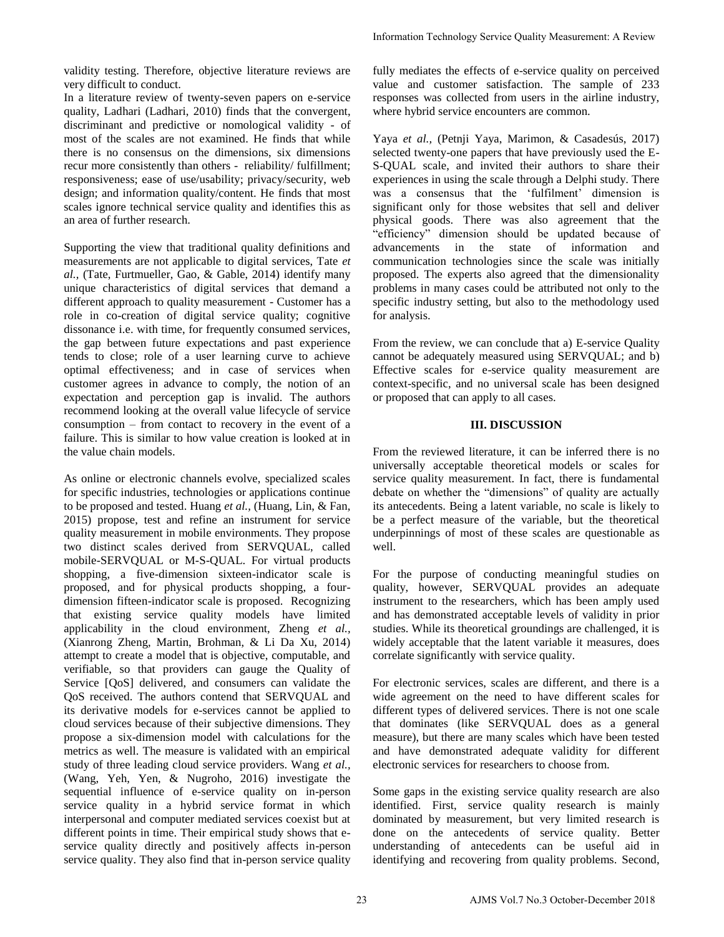validity testing. Therefore, objective literature reviews are very difficult to conduct.

In a literature review of twenty-seven papers on e-service quality, Ladhari (Ladhari, 2010) finds that the convergent, discriminant and predictive or nomological validity - of most of the scales are not examined. He finds that while there is no consensus on the dimensions, six dimensions recur more consistently than others - reliability/ fulfillment; responsiveness; ease of use/usability; privacy/security, web design; and information quality/content. He finds that most scales ignore technical service quality and identifies this as an area of further research.

Supporting the view that traditional quality definitions and measurements are not applicable to digital services, Tate *et al.,* (Tate, Furtmueller, Gao, & Gable, 2014) identify many unique characteristics of digital services that demand a different approach to quality measurement - Customer has a role in co-creation of digital service quality; cognitive dissonance i.e. with time, for frequently consumed services, the gap between future expectations and past experience tends to close; role of a user learning curve to achieve optimal effectiveness; and in case of services when customer agrees in advance to comply, the notion of an expectation and perception gap is invalid. The authors recommend looking at the overall value lifecycle of service consumption – from contact to recovery in the event of a failure. This is similar to how value creation is looked at in the value chain models.

As online or electronic channels evolve, specialized scales for specific industries, technologies or applications continue to be proposed and tested. Huang *et al.,* (Huang, Lin, & Fan, 2015) propose, test and refine an instrument for service quality measurement in mobile environments. They propose two distinct scales derived from SERVQUAL, called mobile-SERVQUAL or M-S-QUAL. For virtual products shopping, a five-dimension sixteen-indicator scale is proposed, and for physical products shopping, a fourdimension fifteen-indicator scale is proposed. Recognizing that existing service quality models have limited applicability in the cloud environment, Zheng *et al.,*  (Xianrong Zheng, Martin, Brohman, & Li Da Xu, 2014) attempt to create a model that is objective, computable, and verifiable, so that providers can gauge the Quality of Service [QoS] delivered, and consumers can validate the QoS received. The authors contend that SERVQUAL and its derivative models for e-services cannot be applied to cloud services because of their subjective dimensions. They propose a six-dimension model with calculations for the metrics as well. The measure is validated with an empirical study of three leading cloud service providers. Wang *et al.,*  (Wang, Yeh, Yen, & Nugroho, 2016) investigate the sequential influence of e-service quality on in-person service quality in a hybrid service format in which interpersonal and computer mediated services coexist but at different points in time. Their empirical study shows that eservice quality directly and positively affects in-person service quality. They also find that in-person service quality

fully mediates the effects of e-service quality on perceived value and customer satisfaction. The sample of 233 responses was collected from users in the airline industry, where hybrid service encounters are common.

Yaya *et al.,* (Petnji Yaya, Marimon, & Casadesús, 2017) selected twenty-one papers that have previously used the E-S-QUAL scale, and invited their authors to share their experiences in using the scale through a Delphi study. There was a consensus that the 'fulfilment' dimension is significant only for those websites that sell and deliver physical goods. There was also agreement that the "efficiency" dimension should be updated because of advancements in the state of information and communication technologies since the scale was initially proposed. The experts also agreed that the dimensionality problems in many cases could be attributed not only to the specific industry setting, but also to the methodology used for analysis. Information Technology Service Quality Measurement: A Review<br>
thatly mediates the effects of e-service quality on perceive<br>
twiste and estable and estable and estable and estable and estable and estable and estable and es

From the review, we can conclude that a) E-service Quality cannot be adequately measured using SERVQUAL; and b) Effective scales for e-service quality measurement are context-specific, and no universal scale has been designed or proposed that can apply to all cases.

### **III. DISCUSSION**

From the reviewed literature, it can be inferred there is no universally acceptable theoretical models or scales for service quality measurement. In fact, there is fundamental debate on whether the "dimensions" of quality are actually its antecedents. Being a latent variable, no scale is likely to be a perfect measure of the variable, but the theoretical underpinnings of most of these scales are questionable as well.

For the purpose of conducting meaningful studies on quality, however, SERVQUAL provides an adequate instrument to the researchers, which has been amply used and has demonstrated acceptable levels of validity in prior studies. While its theoretical groundings are challenged, it is widely acceptable that the latent variable it measures, does correlate significantly with service quality.

For electronic services, scales are different, and there is a wide agreement on the need to have different scales for different types of delivered services. There is not one scale that dominates (like SERVQUAL does as a general measure), but there are many scales which have been tested and have demonstrated adequate validity for different electronic services for researchers to choose from.

Some gaps in the existing service quality research are also identified. First, service quality research is mainly dominated by measurement, but very limited research is done on the antecedents of service quality. Better understanding of antecedents can be useful aid in identifying and recovering from quality problems. Second,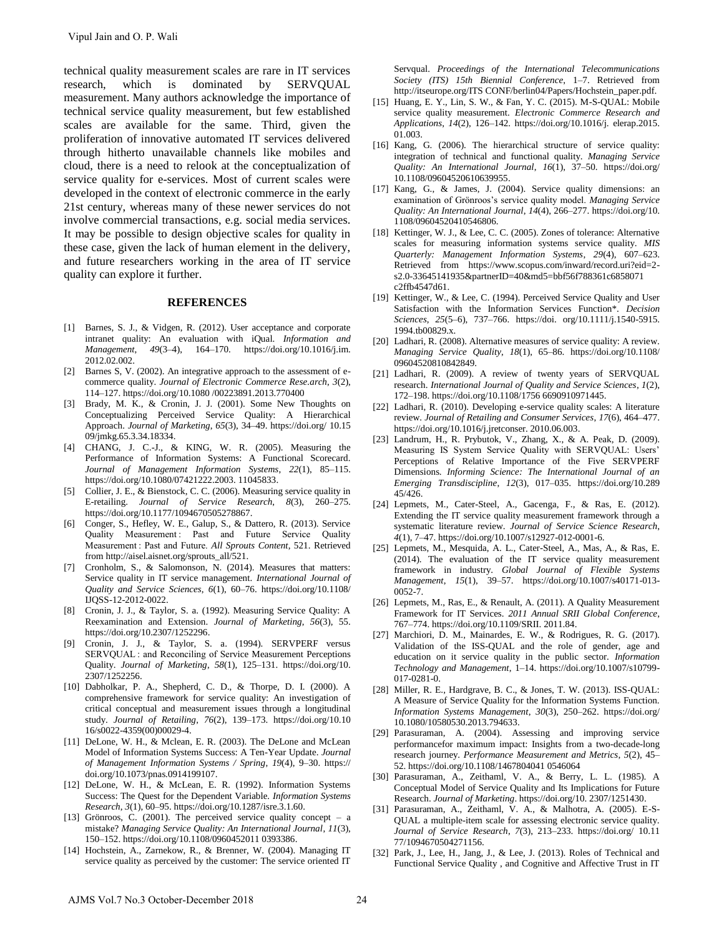technical quality measurement scales are rare in IT services research, which is dominated by SERVQUAL measurement. Many authors acknowledge the importance of technical service quality measurement, but few established scales are available for the same. Third, given the proliferation of innovative automated IT services delivered through hitherto unavailable channels like mobiles and cloud, there is a need to relook at the conceptualization of service quality for e-services. Most of current scales were developed in the context of electronic commerce in the early 21st century, whereas many of these newer services do not involve commercial transactions, e.g. social media services. It may be possible to design objective scales for quality in these case, given the lack of human element in the delivery, and future researchers working in the area of IT service quality can explore it further. Vipul Jain and O. P. Wali<br>
celended untility measurement scales are rare in IT services<br>
celeared, wivids is dominated by SFR-VOUAI.<br>
research May and the main of the main of the main of the main of the main of the main o

#### **REFERENCES**

- [1] Barnes, S. J., & Vidgen, R. (2012). User acceptance and corporate intranet quality: An evaluation with iQual. *Information and Management*, *49*(3–4), 164–170. https://doi.org/10.1016/j.im. 2012.02.002.
- [2] Barnes S, V. (2002). An integrative approach to the assessment of ecommerce quality. *Journal of Electronic Commerce Rese.arch*, *3*(2), 114–127. https://doi.org/10.1080 /00223891.2013.770400
- [3] Brady, M. K., & Cronin, J. J. (2001). Some New Thoughts on Conceptualizing Perceived Service Quality: A Hierarchical Approach. *Journal of Marketing*, *65*(3), 34–49. https://doi.org/ 10.15 09/jmkg.65.3.34.18334.
- [4] CHANG, J. C.-J., & KING, W. R. (2005). Measuring the Performance of Information Systems: A Functional Scorecard. *Journal of Management Information Systems*, *22*(1), 85–115. https://doi.org/10.1080/07421222.2003. 11045833.
- [5] Collier, J. E., & Bienstock, C. C. (2006). Measuring service quality in E-retailing. *Journal of Service Research*, *8*(3), 260–275. https://doi.org/10.1177/1094670505278867.
- [6] Conger, S., Hefley, W. E., Galup, S., & Dattero, R. (2013). Service Quality Measurement: Past and Future Service Quality Measurement : Past and Future. *All Sprouts Content*, 521. Retrieved from http://aisel.aisnet.org/sprouts\_all/521.
- [7] Cronholm, S., & Salomonson, N. (2014). Measures that matters: Service quality in IT service management. *International Journal of Quality and Service Sciences*, *6*(1), 60–76. https://doi.org/10.1108/ IJQSS-12-2012-0022.
- [8] Cronin, J. J., & Taylor, S. a. (1992). Measuring Service Quality: A Reexamination and Extension. *Journal of Marketing*, *56*(3), 55. https://doi.org/10.2307/1252296.
- [9] Cronin, J. J., & Taylor, S. a. (1994). SERVPERF versus SERVQUAL : and Reconciling of Service Measurement Perceptions Quality. *Journal of Marketing*, *58*(1), 125–131. https://doi.org/10. 2307/1252256.
- [10] Dabholkar, P. A., Shepherd, C. D., & Thorpe, D. I. (2000). A comprehensive framework for service quality: An investigation of critical conceptual and measurement issues through a longitudinal study. *Journal of Retailing*, *76*(2), 139–173. https://doi.org/10.10 16/s0022-4359(00)00029-4.
- [11] DeLone, W. H., & Mclean, E. R. (2003). The DeLone and McLean Model of Information Systems Success: A Ten-Year Update. *Journal of Management Information Systems / Spring*, *19*(4), 9–30. https:// doi.org/10.1073/pnas.0914199107.
- [12] DeLone, W. H., & McLean, E. R. (1992). Information Systems Success: The Quest for the Dependent Variable. *Information Systems Research*, *3*(1), 60–95. https://doi.org/10.1287/isre.3.1.60.
- [13] Grönroos, C. (2001). The perceived service quality concept a mistake? *Managing Service Quality: An International Journal*, *11*(3), 150–152. https://doi.org/10.1108/0960452011 0393386.
- [14] Hochstein, A., Zarnekow, R., & Brenner, W. (2004). Managing IT service quality as perceived by the customer: The service oriented IT

Servqual. *Proceedings of the International Telecommunications Society (ITS) 15th Biennial Conference*, 1–7. Retrieved from http://itseurope.org/ITS CONF/berlin04/Papers/Hochstein\_paper.pdf.

- [15] Huang, E. Y., Lin, S. W., & Fan, Y. C. (2015). M-S-QUAL: Mobile service quality measurement. *Electronic Commerce Research and Applications*, *14*(2), 126–142. https://doi.org/10.1016/j. elerap.2015. 01.003.
- [16] Kang, G. (2006). The hierarchical structure of service quality: integration of technical and functional quality. *Managing Service Quality: An International Journal*, *16*(1), 37–50. https://doi.org/ 10.1108/09604520610639955.
- [17] Kang, G., & James, J. (2004). Service quality dimensions: an examination of Grönroos"s service quality model. *Managing Service Quality: An International Journal*, *14*(4), 266–277. https://doi.org/10. 1108/09604520410546806.
- [18] Kettinger, W. J., & Lee, C. C. (2005). Zones of tolerance: Alternative scales for measuring information systems service quality. *MIS Quarterly: Management Information Systems*, *29*(4), 607–623. Retrieved from https://www.scopus.com/inward/record.uri?eid=2 s2.0-33645141935&partnerID=40&md5=bbf56f788361c6858071 c2ffb4547d61.
- [19] Kettinger, W., & Lee, C. (1994). Perceived Service Quality and User Satisfaction with the Information Services Function\*. *Decision Sciences*, *25*(5–6), 737–766. https://doi. org/10.1111/j.1540-5915. 1994.tb00829.x.
- [20] Ladhari, R. (2008). Alternative measures of service quality: A review. *Managing Service Quality*, *18*(1), 65–86. https://doi.org/10.1108/ 09604520810842849.
- [21] Ladhari, R. (2009). A review of twenty years of SERVQUAL research. *International Journal of Quality and Service Sciences*, *1*(2), 172–198. https://doi.org/10.1108/1756 6690910971445.
- [22] Ladhari, R. (2010). Developing e-service quality scales: A literature review. *Journal of Retailing and Consumer Services*, *17*(6), 464–477. https://doi.org/10.1016/j.jretconser. 2010.06.003.
- [23] Landrum, H., R. Prybutok, V., Zhang, X., & A. Peak, D. (2009). Measuring IS System Service Quality with SERVQUAL: Users" Perceptions of Relative Importance of the Five SERVPERF Dimensions. *Informing Science: The International Journal of an Emerging Transdiscipline*, *12*(3), 017–035. https://doi.org/10.289 45/426.
- [24] Lepmets, M., Cater-Steel, A., Gacenga, F., & Ras, E. (2012). Extending the IT service quality measurement framework through a systematic literature review. *Journal of Service Science Research*, *4*(1), 7–47. https://doi.org/10.1007/s12927-012-0001-6.
- [25] Lepmets, M., Mesquida, A. L., Cater-Steel, A., Mas, A., & Ras, E. (2014). The evaluation of the IT service quality measurement framework in industry. *Global Journal of Flexible Systems Management*, *15*(1), 39–57. https://doi.org/10.1007/s40171-013- 0052-7.
- [26] Lepmets, M., Ras, E., & Renault, A. (2011). A Quality Measurement Framework for IT Services. *2011 Annual SRII Global Conference*, 767–774. https://doi.org/10.1109/SRII. 2011.84.
- [27] Marchiori, D. M., Mainardes, E. W., & Rodrigues, R. G. (2017). Validation of the ISS-QUAL and the role of gender, age and education on it service quality in the public sector. *Information Technology and Management*, 1–14. https://doi.org/10.1007/s10799- 017-0281-0.
- [28] Miller, R. E., Hardgrave, B. C., & Jones, T. W. (2013). ISS-QUAL: A Measure of Service Quality for the Information Systems Function. *Information Systems Management*, *30*(3), 250–262. https://doi.org/ 10.1080/10580530.2013.794633.
- [29] Parasuraman, A. (2004). Assessing and improving service performancefor maximum impact: Insights from a two-decade-long research journey. *Performance Measurement and Metrics*, *5*(2), 45– 52. https://doi.org/10.1108/1467804041 0546064
- [30] Parasuraman, A., Zeithaml, V. A., & Berry, L. L. (1985). A Conceptual Model of Service Quality and Its Implications for Future Research. *Journal of Marketing*. https://doi.org/10. 2307/1251430.
- [31] Parasuraman, A., Zeithaml, V. A., & Malhotra, A. (2005). E-S-QUAL a multiple-item scale for assessing electronic service quality. *Journal of Service Research*, *7*(3), 213–233. https://doi.org/ 10.11 77/1094670504271156.
- [32] Park, J., Lee, H., Jang, J., & Lee, J. (2013). Roles of Technical and Functional Service Quality , and Cognitive and Affective Trust in IT